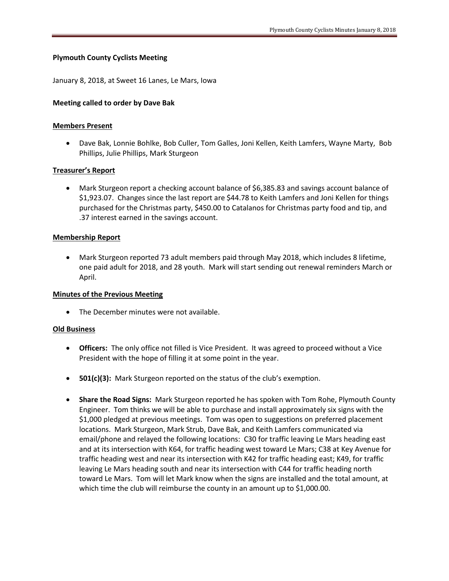# **Plymouth County Cyclists Meeting**

January 8, 2018, at Sweet 16 Lanes, Le Mars, Iowa

## **Meeting called to order by Dave Bak**

## **Members Present**

 Dave Bak, Lonnie Bohlke, Bob Culler, Tom Galles, Joni Kellen, Keith Lamfers, Wayne Marty, Bob Phillips, Julie Phillips, Mark Sturgeon

## **Treasurer's Report**

 Mark Sturgeon report a checking account balance of \$6,385.83 and savings account balance of \$1,923.07. Changes since the last report are \$44.78 to Keith Lamfers and Joni Kellen for things purchased for the Christmas party, \$450.00 to Catalanos for Christmas party food and tip, and .37 interest earned in the savings account.

#### **Membership Report**

 Mark Sturgeon reported 73 adult members paid through May 2018, which includes 8 lifetime, one paid adult for 2018, and 28 youth. Mark will start sending out renewal reminders March or April.

### **Minutes of the Previous Meeting**

The December minutes were not available.

## **Old Business**

- **Officers:** The only office not filled is Vice President. It was agreed to proceed without a Vice President with the hope of filling it at some point in the year.
- **501(c)(3):** Mark Sturgeon reported on the status of the club's exemption.
- **Share the Road Signs:** Mark Sturgeon reported he has spoken with Tom Rohe, Plymouth County Engineer. Tom thinks we will be able to purchase and install approximately six signs with the \$1,000 pledged at previous meetings. Tom was open to suggestions on preferred placement locations. Mark Sturgeon, Mark Strub, Dave Bak, and Keith Lamfers communicated via email/phone and relayed the following locations: C30 for traffic leaving Le Mars heading east and at its intersection with K64, for traffic heading west toward Le Mars; C38 at Key Avenue for traffic heading west and near its intersection with K42 for traffic heading east; K49, for traffic leaving Le Mars heading south and near its intersection with C44 for traffic heading north toward Le Mars. Tom will let Mark know when the signs are installed and the total amount, at which time the club will reimburse the county in an amount up to \$1,000.00.